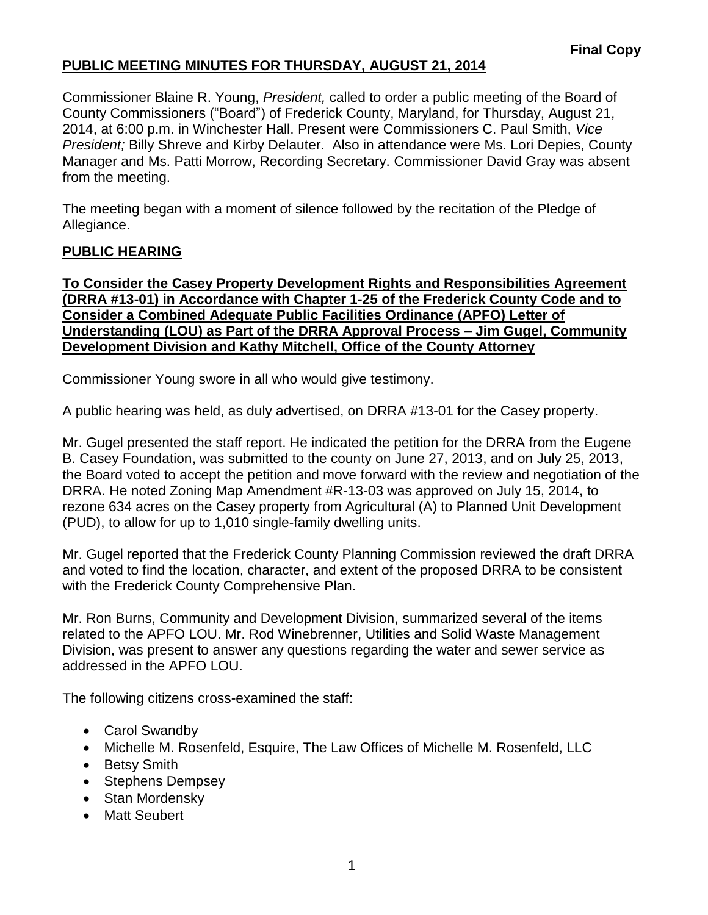Commissioner Blaine R. Young, *President,* called to order a public meeting of the Board of County Commissioners ("Board") of Frederick County, Maryland, for Thursday, August 21, 2014, at 6:00 p.m. in Winchester Hall. Present were Commissioners C. Paul Smith, *Vice President;* Billy Shreve and Kirby Delauter. Also in attendance were Ms. Lori Depies, County Manager and Ms. Patti Morrow, Recording Secretary. Commissioner David Gray was absent from the meeting.

The meeting began with a moment of silence followed by the recitation of the Pledge of Allegiance.

#### **PUBLIC HEARING**

**To Consider the Casey Property Development Rights and Responsibilities Agreement (DRRA #13-01) in Accordance with Chapter 1-25 of the Frederick County Code and to Consider a Combined Adequate Public Facilities Ordinance (APFO) Letter of Understanding (LOU) as Part of the DRRA Approval Process – Jim Gugel, Community Development Division and Kathy Mitchell, Office of the County Attorney**

Commissioner Young swore in all who would give testimony.

A public hearing was held, as duly advertised, on DRRA #13-01 for the Casey property.

Mr. Gugel presented the staff report. He indicated the petition for the DRRA from the Eugene B. Casey Foundation, was submitted to the county on June 27, 2013, and on July 25, 2013, the Board voted to accept the petition and move forward with the review and negotiation of the DRRA. He noted Zoning Map Amendment #R-13-03 was approved on July 15, 2014, to rezone 634 acres on the Casey property from Agricultural (A) to Planned Unit Development (PUD), to allow for up to 1,010 single-family dwelling units.

Mr. Gugel reported that the Frederick County Planning Commission reviewed the draft DRRA and voted to find the location, character, and extent of the proposed DRRA to be consistent with the Frederick County Comprehensive Plan.

Mr. Ron Burns, Community and Development Division, summarized several of the items related to the APFO LOU. Mr. Rod Winebrenner, Utilities and Solid Waste Management Division, was present to answer any questions regarding the water and sewer service as addressed in the APFO LOU.

The following citizens cross-examined the staff:

- Carol Swandby
- Michelle M. Rosenfeld, Esquire, The Law Offices of Michelle M. Rosenfeld, LLC
- Betsy Smith
- Stephens Dempsey
- Stan Mordensky
- Matt Seubert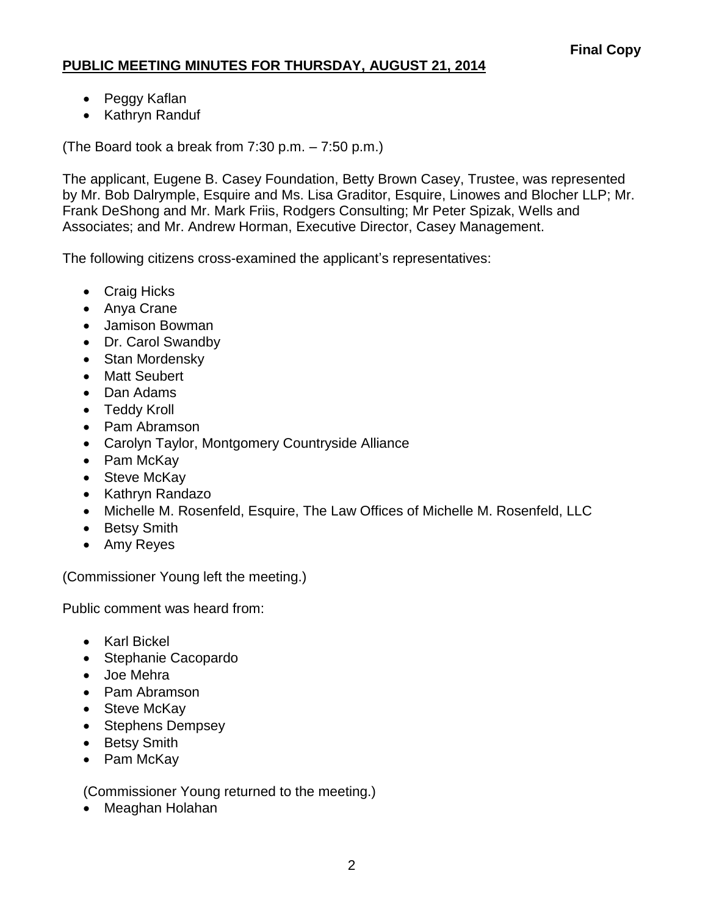- Peggy Kaflan
- Kathryn Randuf

(The Board took a break from 7:30 p.m. – 7:50 p.m.)

The applicant, Eugene B. Casey Foundation, Betty Brown Casey, Trustee, was represented by Mr. Bob Dalrymple, Esquire and Ms. Lisa Graditor, Esquire, Linowes and Blocher LLP; Mr. Frank DeShong and Mr. Mark Friis, Rodgers Consulting; Mr Peter Spizak, Wells and Associates; and Mr. Andrew Horman, Executive Director, Casey Management.

The following citizens cross-examined the applicant's representatives:

- Craig Hicks
- Anya Crane
- Jamison Bowman
- Dr. Carol Swandby
- Stan Mordensky
- Matt Seubert
- Dan Adams
- Teddy Kroll
- Pam Abramson
- Carolyn Taylor, Montgomery Countryside Alliance
- Pam McKav
- Steve McKay
- Kathryn Randazo
- Michelle M. Rosenfeld, Esquire, The Law Offices of Michelle M. Rosenfeld, LLC
- Betsy Smith
- Amy Reyes

(Commissioner Young left the meeting.)

Public comment was heard from:

- Karl Bickel
- Stephanie Cacopardo
- Joe Mehra
- Pam Abramson
- Steve McKay
- Stephens Dempsey
- Betsy Smith
- Pam McKay

(Commissioner Young returned to the meeting.)

• Meaghan Holahan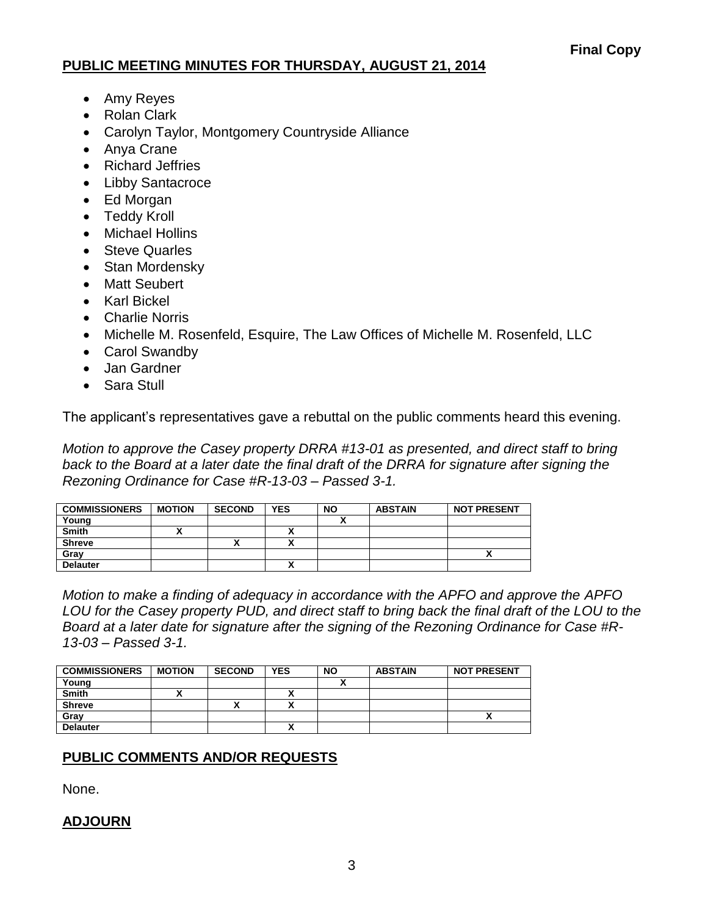- Amy Reyes
- Rolan Clark
- Carolyn Taylor, Montgomery Countryside Alliance
- Anya Crane
- Richard Jeffries
- Libby Santacroce
- Ed Morgan
- Teddy Kroll
- Michael Hollins
- **Steve Quarles**
- Stan Mordensky
- Matt Seubert
- Karl Bickel
- Charlie Norris
- Michelle M. Rosenfeld, Esquire, The Law Offices of Michelle M. Rosenfeld, LLC
- Carol Swandby
- Jan Gardner
- Sara Stull

The applicant's representatives gave a rebuttal on the public comments heard this evening.

*Motion to approve the Casey property DRRA #13-01 as presented, and direct staff to bring back to the Board at a later date the final draft of the DRRA for signature after signing the Rezoning Ordinance for Case #R-13-03 – Passed 3-1.*

| <b>COMMISSIONERS</b> | <b>MOTION</b> | <b>SECOND</b> | <b>YES</b> | <b>NO</b> | <b>ABSTAIN</b> | <b>NOT PRESENT</b> |
|----------------------|---------------|---------------|------------|-----------|----------------|--------------------|
| Young                |               |               |            |           |                |                    |
| <b>Smith</b>         | ~             |               |            |           |                |                    |
| <b>Shreve</b>        |               |               |            |           |                |                    |
| Grav                 |               |               |            |           |                | ^                  |
| <b>Delauter</b>      |               |               |            |           |                |                    |

*Motion to make a finding of adequacy in accordance with the APFO and approve the APFO LOU for the Casey property PUD, and direct staff to bring back the final draft of the LOU to the Board at a later date for signature after the signing of the Rezoning Ordinance for Case #R-13-03 – Passed 3-1.*

| <b>COMMISSIONERS</b> | <b>MOTION</b> | <b>SECOND</b> | <b>YES</b> | NΟ | <b>ABSTAIN</b> | <b>NOT PRESENT</b> |
|----------------------|---------------|---------------|------------|----|----------------|--------------------|
| Young                |               |               |            |    |                |                    |
| <b>Smith</b>         |               |               | . .        |    |                |                    |
| <b>Shreve</b>        |               |               |            |    |                |                    |
| Gray                 |               |               |            |    |                |                    |
| <b>Delauter</b>      |               |               |            |    |                |                    |

## **PUBLIC COMMENTS AND/OR REQUESTS**

None.

#### **ADJOURN**